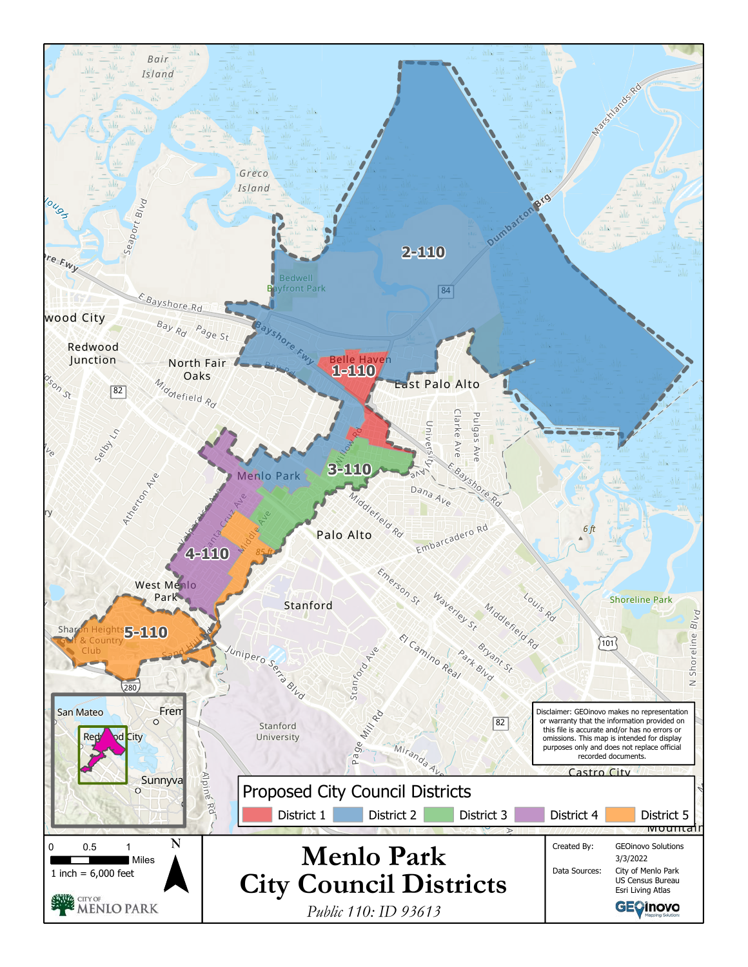